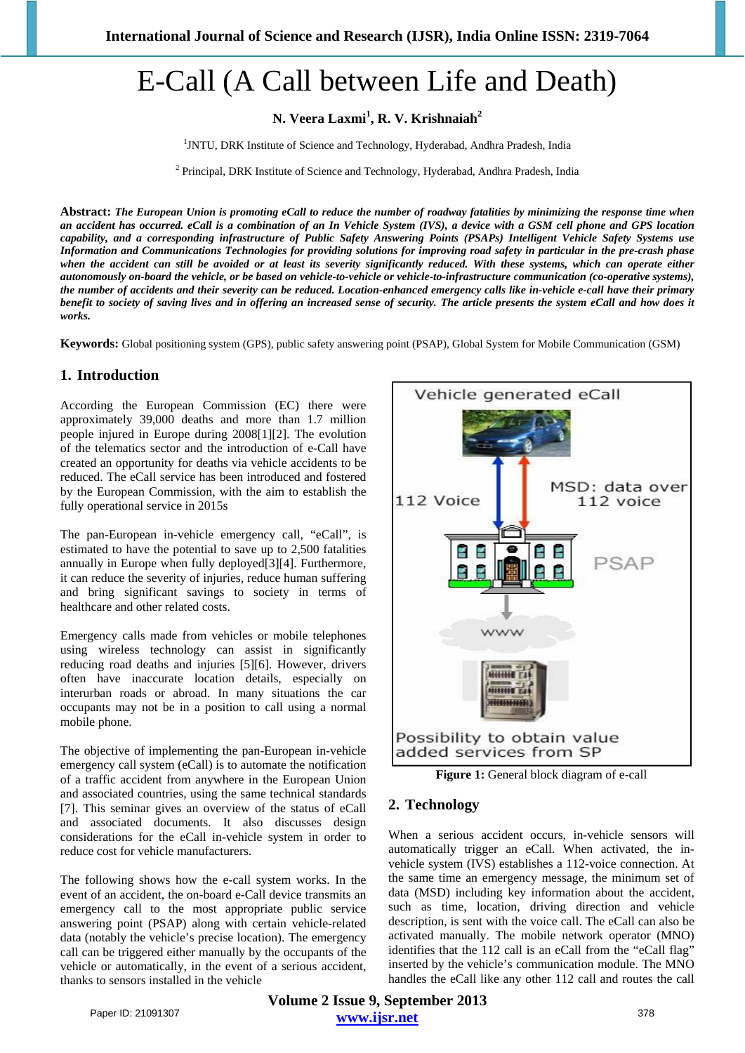# E-Call (A Call between Life and Death)

**N. Veera Laxmi1 , R. V. Krishnaiah<sup>2</sup>**

<sup>1</sup>JNTU, DRK Institute of Science and Technology, Hyderabad, Andhra Pradesh, India

<sup>2</sup> Principal, DRK Institute of Science and Technology, Hyderabad, Andhra Pradesh, India

**Abstract:** *The European Union is promoting eCall to reduce the number of roadway fatalities by minimizing the response time when an accident has occurred. eCall is a combination of an In Vehicle System (IVS), a device with a GSM cell phone and GPS location capability, and a corresponding infrastructure of Public Safety Answering Points (PSAPs) Intelligent Vehicle Safety Systems use Information and Communications Technologies for providing solutions for improving road safety in particular in the pre-crash phase when the accident can still be avoided or at least its severity significantly reduced. With these systems, which can operate either autonomously on-board the vehicle, or be based on vehicle-to-vehicle or vehicle-to-infrastructure communication (co-operative systems), the number of accidents and their severity can be reduced. Location-enhanced emergency calls like in-vehicle e-call have their primary benefit to society of saving lives and in offering an increased sense of security. The article presents the system eCall and how does it works.*

**Keywords:** Global positioning system (GPS), public safety answering point (PSAP), Global System for Mobile Communication (GSM)

## **1. Introduction**

According the European Commission (EC) there were approximately 39,000 deaths and more than 1.7 million people injured in Europe during 2008[1][2]. The evolution of the telematics sector and the introduction of e-Call have created an opportunity for deaths via vehicle accidents to be reduced. The eCall service has been introduced and fostered by the European Commission, with the aim to establish the fully operational service in 2015s

The pan-European in-vehicle emergency call, "eCall", is estimated to have the potential to save up to 2,500 fatalities annually in Europe when fully deployed[3][4]. Furthermore, it can reduce the severity of injuries, reduce human suffering and bring significant savings to society in terms of healthcare and other related costs.

Emergency calls made from vehicles or mobile telephones using wireless technology can assist in significantly reducing road deaths and injuries [5][6]. However, drivers often have inaccurate location details, especially on interurban roads or abroad. In many situations the car occupants may not be in a position to call using a normal mobile phone.

The objective of implementing the pan-European in-vehicle emergency call system (eCall) is to automate the notification of a traffic accident from anywhere in the European Union and associated countries, using the same technical standards [7]. This seminar gives an overview of the status of eCall and associated documents. It also discusses design considerations for the eCall in-vehicle system in order to reduce cost for vehicle manufacturers.

The following shows how the e-call system works. In the event of an accident, the on-board e-Call device transmits an emergency call to the most appropriate public service answering point (PSAP) along with certain vehicle-related data (notably the vehicle's precise location). The emergency call can be triggered either manually by the occupants of the vehicle or automatically, in the event of a serious accident, thanks to sensors installed in the vehicle



**Figure 1:** General block diagram of e-call

# **2. Technology**

When a serious accident occurs, in-vehicle sensors will automatically trigger an eCall. When activated, the invehicle system (IVS) establishes a 112-voice connection. At the same time an emergency message, the minimum set of data (MSD) including key information about the accident, such as time, location, driving direction and vehicle description, is sent with the voice call. The eCall can also be activated manually. The mobile network operator (MNO) identifies that the 112 call is an eCall from the "eCall flag" inserted by the vehicle's communication module. The MNO handles the eCall like any other 112 call and routes the call

**Volume 2 Issue 9, September 2013 www.ijsr.net** Paper ID: 21091307 378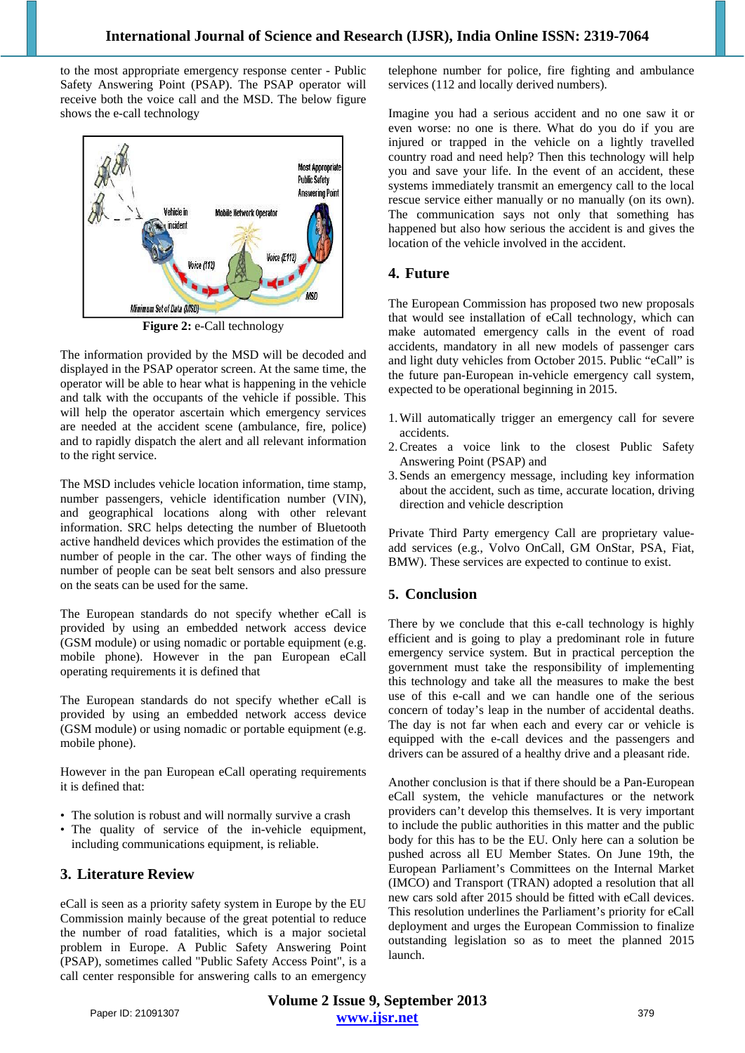to the most appropriate emergency response center - Public Safety Answering Point (PSAP). The PSAP operator will receive both the voice call and the MSD. The below figure shows the e-call technology



**Figure 2:** e-Call technology

The information provided by the MSD will be decoded and displayed in the PSAP operator screen. At the same time, the operator will be able to hear what is happening in the vehicle and talk with the occupants of the vehicle if possible. This will help the operator ascertain which emergency services are needed at the accident scene (ambulance, fire, police) and to rapidly dispatch the alert and all relevant information to the right service.

The MSD includes vehicle location information, time stamp, number passengers, vehicle identification number (VIN), and geographical locations along with other relevant information. SRC helps detecting the number of Bluetooth active handheld devices which provides the estimation of the number of people in the car. The other ways of finding the number of people can be seat belt sensors and also pressure on the seats can be used for the same.

The European standards do not specify whether eCall is provided by using an embedded network access device (GSM module) or using nomadic or portable equipment (e.g. mobile phone). However in the pan European eCall operating requirements it is defined that

The European standards do not specify whether eCall is provided by using an embedded network access device (GSM module) or using nomadic or portable equipment (e.g. mobile phone).

However in the pan European eCall operating requirements it is defined that:

- The solution is robust and will normally survive a crash
- The quality of service of the in-vehicle equipment, including communications equipment, is reliable.

# **3. Literature Review**

eCall is seen as a priority safety system in Europe by the EU Commission mainly because of the great potential to reduce the number of road fatalities, which is a major societal problem in Europe. A Public Safety Answering Point (PSAP), sometimes called "Public Safety Access Point", is a call center responsible for answering calls to an emergency telephone number for police, fire fighting and ambulance services (112 and locally derived numbers).

Imagine you had a serious accident and no one saw it or even worse: no one is there. What do you do if you are injured or trapped in the vehicle on a lightly travelled country road and need help? Then this technology will help you and save your life. In the event of an accident, these systems immediately transmit an emergency call to the local rescue service either manually or no manually (on its own). The communication says not only that something has happened but also how serious the accident is and gives the location of the vehicle involved in the accident.

## **4. Future**

The European Commission has proposed two new proposals that would see installation of eCall technology, which can make automated emergency calls in the event of road accidents, mandatory in all new models of passenger cars and light duty vehicles from October 2015. Public "eCall" is the future pan-European in-vehicle emergency call system, expected to be operational beginning in 2015.

- 1.Will automatically trigger an emergency call for severe accidents.
- 2.Creates a voice link to the closest Public Safety Answering Point (PSAP) and
- 3. Sends an emergency message, including key information about the accident, such as time, accurate location, driving direction and vehicle description

Private Third Party emergency Call are proprietary valueadd services (e.g., Volvo OnCall, GM OnStar, PSA, Fiat, BMW). These services are expected to continue to exist.

# **5. Conclusion**

There by we conclude that this e-call technology is highly efficient and is going to play a predominant role in future emergency service system. But in practical perception the government must take the responsibility of implementing this technology and take all the measures to make the best use of this e-call and we can handle one of the serious concern of today's leap in the number of accidental deaths. The day is not far when each and every car or vehicle is equipped with the e-call devices and the passengers and drivers can be assured of a healthy drive and a pleasant ride.

Another conclusion is that if there should be a Pan-European eCall system, the vehicle manufactures or the network providers can't develop this themselves. It is very important to include the public authorities in this matter and the public body for this has to be the EU. Only here can a solution be pushed across all EU Member States. On June 19th, the European Parliament's Committees on the Internal Market (IMCO) and Transport (TRAN) adopted a resolution that all new cars sold after 2015 should be fitted with eCall devices. This resolution underlines the Parliament's priority for eCall deployment and urges the European Commission to finalize outstanding legislation so as to meet the planned 2015 launch.